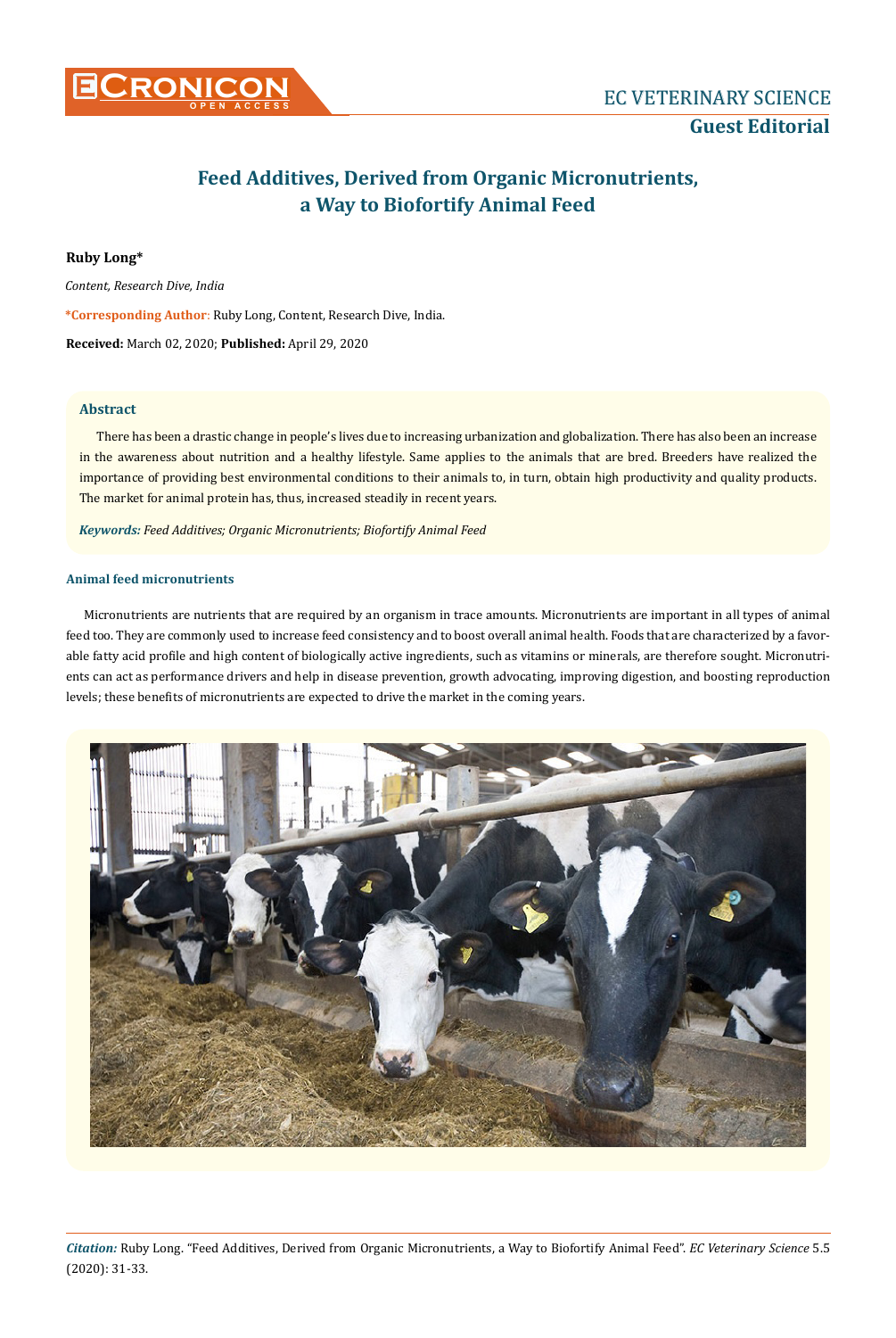

# **Feed Additives, Derived from Organic Micronutrients, a Way to Biofortify Animal Feed**

# **Ruby Long\***

*Content, Research Dive, India* 

**\*Corresponding Author**: Ruby Long, Content, Research Dive, India.

**Received:** March 02, 2020; **Published:** April 29, 2020

# **Abstract**

There has been a drastic change in people's lives due to increasing urbanization and globalization. There has also been an increase in the awareness about nutrition and a healthy lifestyle. Same applies to the animals that are bred. Breeders have realized the importance of providing best environmental conditions to their animals to, in turn, obtain high productivity and quality products. The market for animal protein has, thus, increased steadily in recent years.

*Keywords: Feed Additives; Organic Micronutrients; Biofortify Animal Feed*

# **Animal feed micronutrients**

Micronutrients are nutrients that are required by an organism in trace amounts. Micronutrients are important in all types of animal feed too. They are commonly used to increase feed consistency and to boost overall animal health. Foods that are characterized by a favorable fatty acid profile and high content of biologically active ingredients, such as vitamins or minerals, are therefore sought. Micronutrients can act as performance drivers and help in disease prevention, growth advocating, improving digestion, and boosting reproduction levels; these benefits of micronutrients are expected to drive the market in the coming years.

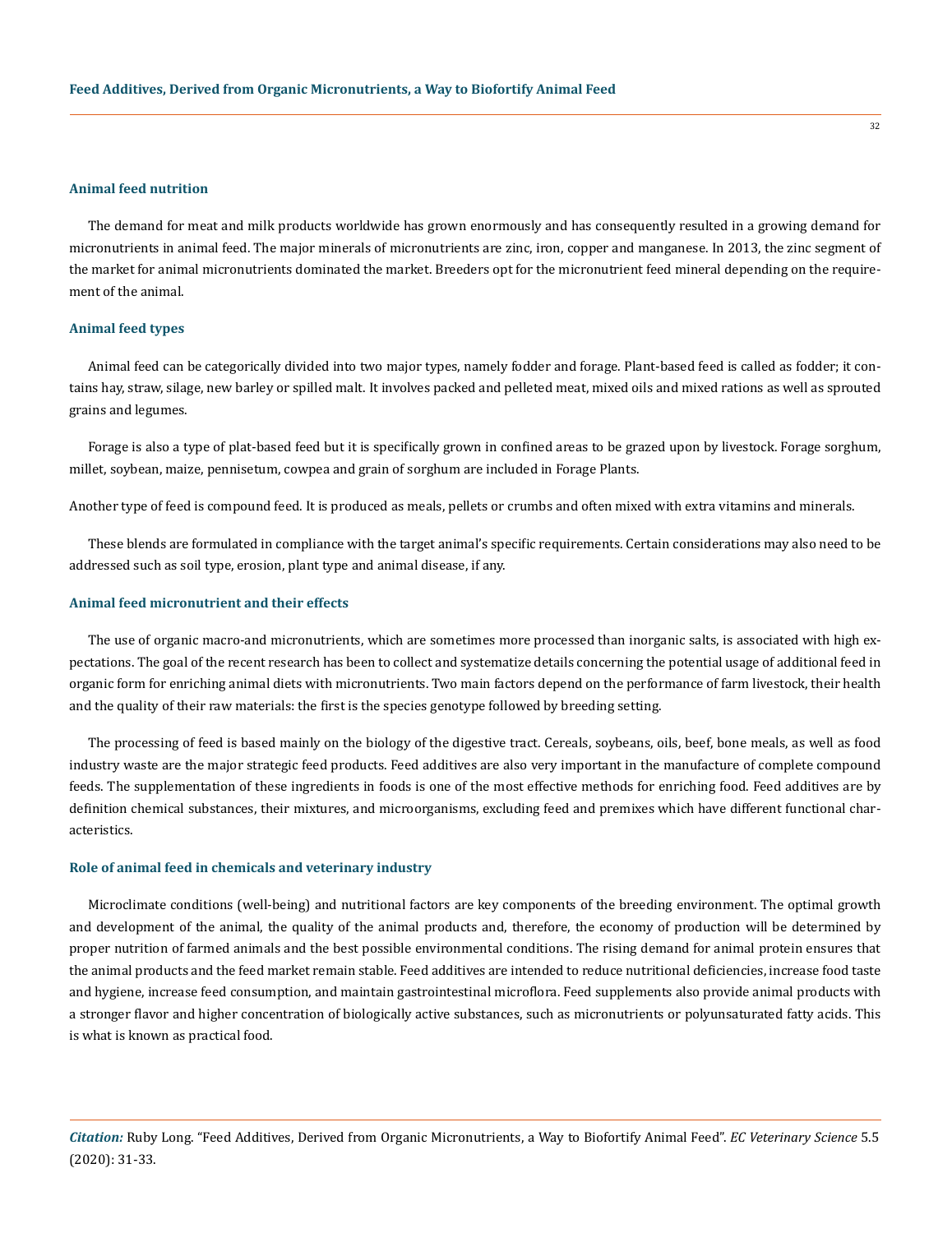## **Animal feed nutrition**

The demand for meat and milk products worldwide has grown enormously and has consequently resulted in a growing demand for micronutrients in animal feed. The major minerals of micronutrients are zinc, iron, copper and manganese. In 2013, the zinc segment of the market for animal micronutrients dominated the market. Breeders opt for the micronutrient feed mineral depending on the requirement of the animal.

#### **Animal feed types**

Animal feed can be categorically divided into two major types, namely fodder and forage. Plant-based feed is called as fodder; it contains hay, straw, silage, new barley or spilled malt. It involves packed and pelleted meat, mixed oils and mixed rations as well as sprouted grains and legumes.

Forage is also a type of plat-based feed but it is specifically grown in confined areas to be grazed upon by livestock. Forage sorghum, millet, soybean, maize, pennisetum, cowpea and grain of sorghum are included in Forage Plants.

Another type of feed is compound feed. It is produced as meals, pellets or crumbs and often mixed with extra vitamins and minerals.

These blends are formulated in compliance with the target animal's specific requirements. Certain considerations may also need to be addressed such as soil type, erosion, plant type and animal disease, if any.

### **Animal feed micronutrient and their effects**

The use of organic macro-and micronutrients, which are sometimes more processed than inorganic salts, is associated with high expectations. The goal of the recent research has been to collect and systematize details concerning the potential usage of additional feed in organic form for enriching animal diets with micronutrients. Two main factors depend on the performance of farm livestock, their health and the quality of their raw materials: the first is the species genotype followed by breeding setting.

The processing of feed is based mainly on the biology of the digestive tract. Cereals, soybeans, oils, beef, bone meals, as well as food industry waste are the major strategic feed products. Feed additives are also very important in the manufacture of complete compound feeds. The supplementation of these ingredients in foods is one of the most effective methods for enriching food. Feed additives are by definition chemical substances, their mixtures, and microorganisms, excluding feed and premixes which have different functional characteristics.

#### **Role of animal feed in chemicals and veterinary industry**

Microclimate conditions (well-being) and nutritional factors are key components of the breeding environment. The optimal growth and development of the animal, the quality of the animal products and, therefore, the economy of production will be determined by proper nutrition of farmed animals and the best possible environmental conditions. The rising demand for animal protein ensures that the animal products and the feed market remain stable. Feed additives are intended to reduce nutritional deficiencies, increase food taste and hygiene, increase feed consumption, and maintain gastrointestinal microflora. Feed supplements also provide animal products with a stronger flavor and higher concentration of biologically active substances, such as micronutrients or polyunsaturated fatty acids. This is what is known as practical food.